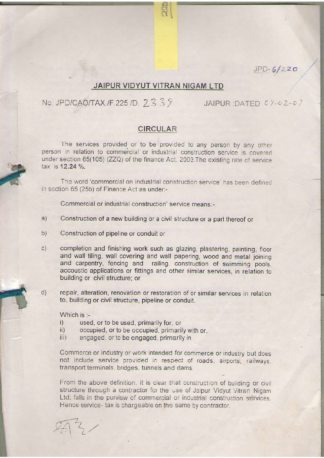## JAIPUR VIDYUT VITRAN NIGAM LTD

 $\frac{2}{\alpha}$ 

## No. JPD/CAO/TAX./F.225 /D.  $2339$  JAIPUR DATED  $09 - 02 - 07$

 $IPD-6/220$ .

## **CIRCULAR**

The services provided or to be provided to any person by any other person in relation to commercial or industrial construction service is covered under section 65(105) (ZZQ) of the finance Act, 2003. The existing rate of service tax is 12.24 %.

The word 'commercial on industrial construction service' has been defined in section 65 (25b) of Finance Act as under:-

Commercial or industrial construction' service means:-

- $a)$ Construction of a new building or a civil structure or a part thereof or
- $b)$ Construction of pipeline or conduit or
- completion and finishing work such as glazing, plastering, painting, floor  $\mathsf{C}$ ) and wall tiling, wall covering and wall papering, wood and metal joining and carpentry, fencing and railing, construction of swimming pools. accoustic applications or fittings and other similar services, in relation to building or civil structure; or
- repair, alteration, renovation or restoration of or similar services in relation to. building or civil structure, pipeline or conduit.  $d)$

Which is :-

- i) used, or to be used, primarily for: or<br>ii) occupied. or to be occupied, primari
- ii) occupied, or to be occupied, primarily with or,<br>iii) engaged, or to be engaged, primarily in
- engaged, or to be engaged, primarily in

Commerce or industry or work iniended for commerce or industry but does not include service provided in respect of roads, airports, railways. transport terminals, bridges. tunnels and dams

From the above definition, it is clear that construction of building or civil structure through a contractor for the use of Jaipur Vidyut Vitran Nigam Ltd; falls in the purview of commercial or industrial construction services. Hence service- tax is chargeable on the same by contractor.